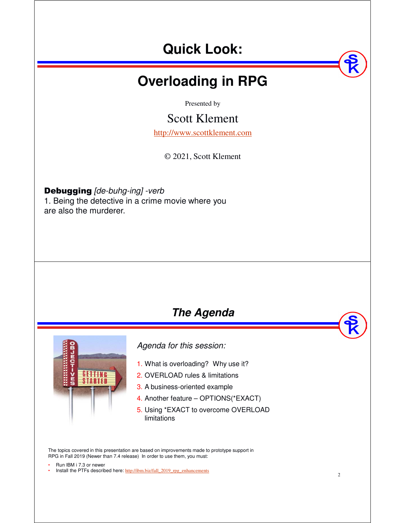# **Quick Look:**

# **Overloading in RPG**

Presented by

Scott Klement

http://www.scottklement.com

© 2021, Scott Klement

Debugging *[de-buhg-ing] -verb* 1. Being the detective in a crime movie where you are also the murderer.

### *The Agenda*



#### *Agenda for this session:*

- 1. What is overloading? Why use it?
- 2. OVERLOAD rules & limitations
- 3. A business-oriented example
- 4. Another feature OPTIONS(\*EXACT)
- 5. Using \*EXACT to overcome OVERLOAD limitations

The topics covered in this presentation are based on improvements made to prototype support in RPG in Fall 2019 (Newer than 7.4 release) In order to use them, you must:

• Run IBM i 7.3 or newer

Install the PTFs described here: http://ibm.biz/fall\_2019\_rpg\_enhancements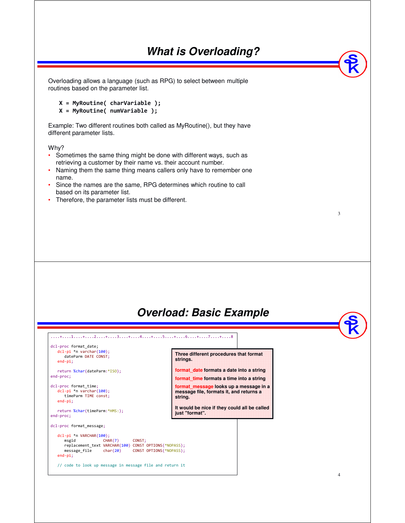Overloading allows a language (such as RPG) to select between multiple routines based on the parameter list.

```
X = MyRoutine( charVariable );
```

```
X = MyRoutine( numVariable );
```
Example: Two different routines both called as MyRoutine(), but they have different parameter lists.

Why?

- Sometimes the same thing might be done with different ways, such as retrieving a customer by their name vs. their account number.
- Naming them the same thing means callers only have to remember one name.
- Since the names are the same, RPG determines which routine to call based on its parameter list.
- Therefore, the parameter lists must be different.

### *Overload: Basic Example*

| $dcl-pi *n$ varchar $(100);$<br>dateParm DATE CONST;<br>$end-pi$ ;                                                                                                                         | Three different procedures that format<br>strings.                                          |
|--------------------------------------------------------------------------------------------------------------------------------------------------------------------------------------------|---------------------------------------------------------------------------------------------|
| return %char(dateParm:*ISO);                                                                                                                                                               | format date formats a date into a string                                                    |
| end-proc;                                                                                                                                                                                  | format time formats a time into a string                                                    |
| dcl-proc format_time;<br>$dcl-pi *n$ varchar $(100);$<br>timeParm TIME const;<br>$end-pi$ ;                                                                                                | format message looks up a message in a<br>message file, formats it, and returns a<br>string |
| return %char(timeParm:*HMS:);<br>end-proc;                                                                                                                                                 | It would be nice if they could all be called<br>lust format                                 |
| dcl-proc format message;<br>$dcl-pi *n$ VARCHAR $(100)$ ;<br>msgid<br>CHAR(7)<br>CONST;<br>replacement_text VARCHAR(100) CONST OPTIONS(*NOPASS);<br>message file<br>char(20)<br>$end-pi$ ; | CONST OPTIONS (*NOPASS);                                                                    |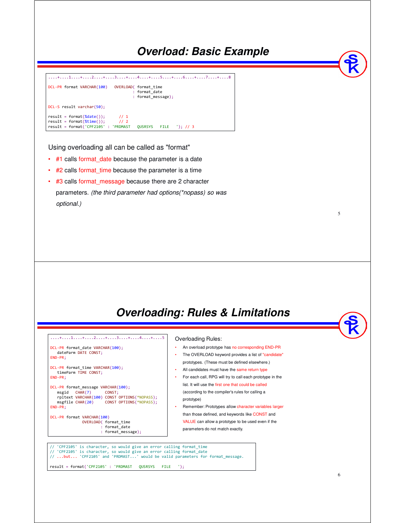### *Overload: Basic Example*

|                                                                                                            |     | $\ldots, \ldots, 1, \ldots, \ldots, 2, \ldots, \ldots, 3, \ldots, \ldots, 4, \ldots, \ldots, 5, \ldots, \ldots, 6, \ldots, \ldots, 7, \ldots, \ldots, 8$ |
|------------------------------------------------------------------------------------------------------------|-----|----------------------------------------------------------------------------------------------------------------------------------------------------------|
| DCL-PR format VARCHAR(100)                                                                                 |     | OVERLOAD( format time<br>: format date<br>: format message);                                                                                             |
| DCL-S result varchar(50);                                                                                  |     |                                                                                                                                                          |
| $result = format(%date())$ ;<br>$result = format(\%time())$ ; // 2<br>result = format('CPF2105' : 'PRDMAST | 1/1 | <b>OUSRSYS</b><br>FILE $'$ ): // 3                                                                                                                       |

Using overloading all can be called as "format"

- #1 calls format\_date because the parameter is a date
- #2 calls format\_time because the parameter is a time
- #3 calls format\_message because there are 2 character parameters. *(the third parameter had options(\*nopass) so was optional.)*

### *Overloading: Rules & Limitations*

....+....1....+....2....+....3....+....4....+....5

DCL-PR format date VARCHAR(100); dateParm DATE CONST; END-PR;

DCL-PR format\_time VARCHAR(100); timeParm TIME CONST; END-PR;

DCL-PR format\_message VARCHAR(100);<br>msgid CHAR(7) CONST;  $msgid$  CHAR $(7)$ rpltext VARCHAR(100) CONST OPTIONS(\*NOPASS);<br>msgfile CHAR(20) CONST OPTIONS(\*NOPASS); CONST OPTIONS(\*NOPASS); END-PR;

DCL-PR format VARCHAR(100) OVERLOAD( format\_time : format\_date : format\_message);

#### Overloading Rules:

- An overload prototype has no corresponding END-PR
- The OVERLOAD keyword provides a list of "candidate" prototypes. (These must be defined elsewhere.)
- All candidates must have the same return type
- For each call, RPG will try to call each prototype in the list. It will use the first one that could be called (according to the compiler's rules for calling a prototype)
- Remember: Prototypes allow character variables larger than those defined, and keywords like CONST and VALUE can allow a prototype to be used even if the parameters do not match exactly.

// 'CPF2105' is character, so would give an error calling format\_time // 'CPF2105' is character, so would give an error calling format\_date // ...but... 'CPF2105' and 'PRDMAST...' would be valid parameters for format\_message.

result = format('CPF2105' : 'PRDMAST QUSRSYS FILE ');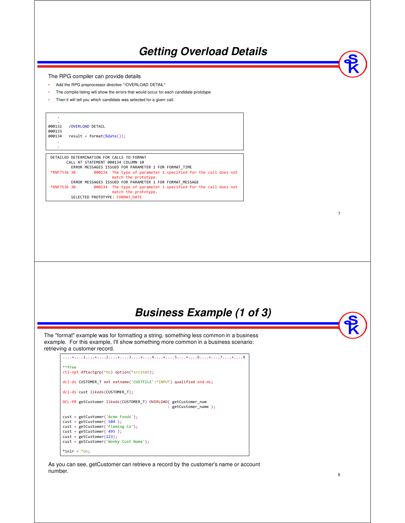### *Getting Overload Details*

The RPG compiler can provide details

- Add the RPG preprocessor directive "/OVERLOAD DETAIL"
- The compile listing will show the errors that would occur for each candidate prototype
- Then it will tell you which candidate was selected for a given call.

. 888132 /OVERLOAD DETAIL 000133<br>000134  $result = format( $\text{Value}())$ );$ . . DETAILED DETERMINATION FOR CALLS TO FORMAT CALL AT STATEMENT 000134 COLUMN 10 ERROR MESSAGES ISSUED FOR PARAMETER 1 FOR FORMAT\_TIME<br>\*RNF7536 30 000134 The type of parameter 1 specified fo \*RNF7536 30 000134 The type of parameter 1 specified for the call does not match the prototype. ERROR MESSAGES ISSUED FOR PARAMETER 1 FOR FORMAT\_MESSAGE \*RNF7536 30 0 000134 The type of parameter 1 specified for 1 000134 The type of parameter 1 specified for the call does not match the prototype. SELECTED PROTOTYPE: FORMAT\_DATE

### *Business Example (1 of 3)*

The "format" example was for formatting a string, something less common in a business example. For this example, I'll show something more common in a business scenario: retrieving a customer record.



As you can see, getCustomer can retrieve a record by the customer's name or account number.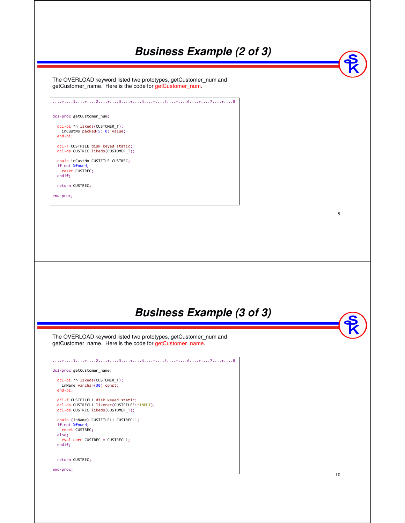### *Business Example (2 of 3)*

The OVERLOAD keyword listed two prototypes, getCustomer\_num and getCustomer\_name. Here is the code for getCustomer\_num.

| $\ldots, \ldots, 1, \ldots, \ldots, 2, \ldots, \ldots, 3, \ldots, \ldots, 4, \ldots, \ldots, 5, \ldots, \ldots, 6, \ldots, \ldots, 7, \ldots, \ldots, 8$ |
|----------------------------------------------------------------------------------------------------------------------------------------------------------|
| dcl-proc getCustomer num;                                                                                                                                |
| dcl-pi *n likeds(CUSTOMER T);<br>inCustNo packed(5: 0) value;<br>$end-pi$ ;                                                                              |
| dcl-f CUSTFILE disk keyed static;<br>dcl-ds CUSTREC likeds(CUSTOMER T);                                                                                  |
| chain inCustNo CUSTFILE CUSTREC;<br>if not %found;<br>reset CUSTREC;<br>endif;                                                                           |
| return CUSTREC;                                                                                                                                          |
| end-proc;                                                                                                                                                |

### *Business Example (3 of 3)*

The OVERLOAD keyword listed two prototypes, getCustomer\_num and getCustomer\_name. Here is the code for getCustomer\_name.

```
....+....1....+....2....+....3....+....4....+....5....+....6....+....7....+....8 
dcl-proc getCustomer_name;
  dcl-pi *n likeds(CUSTOMER_T);
    inName varchar(30) const;
  end-pi;
   dcl-f CUSTFILEL1 disk keyed static;<br>dcl-ds CUSTRECL1 likerec(CUSTFILEF:*<u>INPUT);</u><br>dcl-ds CUSTREC likeds(CUSTOMER_T);
  chain (inName) CUSTFILEL1 CUSTRECL1;
  if not %found;
    reset CUSTREC;
  else;
    eval-corr CUSTREC = CUSTRECL1;
  endif;
  return CUSTREC;
end-proc;
```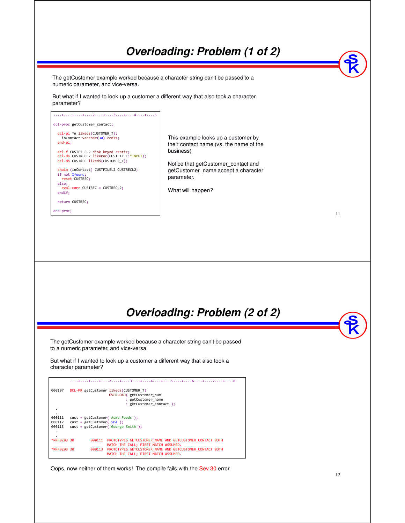#### 11 *Overloading: Problem (1 of 2)* The getCustomer example worked because a character string can't be passed to a numeric parameter, and vice-versa. But what if I wanted to look up a customer a different way that also took a character parameter? ....+....1....+....2....+....3....+....4....+....5 dcl-proc getCustomer\_contact; dcl-pi \*n likeds(CUSTOMER\_T);  $\frac{1}{2}$  in  $\frac{1}{2}$  in  $\frac{1}{2}$   $\frac{1}{2}$   $\frac{1}{2}$   $\frac{1}{2}$   $\frac{1}{2}$   $\frac{1}{2}$   $\frac{1}{2}$   $\frac{1}{2}$   $\frac{1}{2}$   $\frac{1}{2}$   $\frac{1}{2}$   $\frac{1}{2}$   $\frac{1}{2}$   $\frac{1}{2}$   $\frac{1}{2}$   $\frac{1}{2}$   $\frac{1}{2}$   $\frac{1}{2}$   $\frac{1}{2}$   $\frac{1$ end-pi; dcl-f CUSTFILEL2 disk keyed static; dcl-ds CUSTRECL2 likerec(CUSTFILEF:\*INPUT); dcl-ds CUSTREC likeds(CUSTOMER\_T); chain (inContact) CUSTFILEL2 CUSTRECL2; if not %found; reset CUSTREC; else; eval-corr CUSTREC = CUSTRECL2; endif; return CUSTREC; end-proc; This example looks up a customer by their contact name (vs. the name of the business) Notice that getCustomer\_contact and getCustomer\_name accept a character parameter. What will happen?

### *Overloading: Problem (2 of 2)*

The getCustomer example worked because a character string can't be passed to a numeric parameter, and vice-versa.

But what if I wanted to look up a customer a different way that also took a character parameter?

....+....1....+....2....+....3....+....4....+....5....+....6....+....7....+....8 000107 DCL-PR getCustomer likeds(CUSTOMER\_T) OVERLOAD( getCustomer\_num : getCustomer\_name : getCustomer\_contact ); . . 000111 cust = getCustomer('Acme Foods'); 000112 cust = getCustomer( 504 ); 000113 cust = getCustomer('George Smith'); . . \*RNF0203 30 000111 PROTOTYPES GETCUSTOMER\_NAME AND GETCUSTOMER\_CONTACT BOTH MATCH THE CALL; FIRST MATCH ASSUMED. \*RNF0203 30 000113 PROTOTYPES GETCUSTOMER\_NAME AND GETCUSTOMER\_CONTACT BOTH MATCH THE CALL; FIRST MATCH ASSUMED.

Oops, now neither of them works! The compile fails with the Sev 30 error.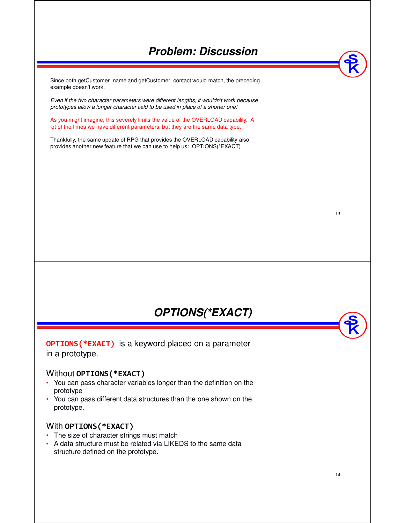### *Problem: Discussion*

Since both getCustomer\_name and getCustomer\_contact would match, the preceding example doesn't work.

*Even if the two character parameters were different lengths, it wouldn't work because prototypes allow a longer character field to be used in place of a shorter one!*

As you might imagine, this severely limits the value of the OVERLOAD capability. A lot of the times we have different parameters, but they are the same data type.

Thankfully, the same update of RPG that provides the OVERLOAD capability also provides another new feature that we can use to help us: OPTIONS(\*EXACT)

### *OPTIONS(\*EXACT)*

**OPTIONS(\*EXACT)** is a keyword placed on a parameter in a prototype.

#### Without **OPTIONS(\*EXACT)**

- You can pass character variables longer than the definition on the prototype
- You can pass different data structures than the one shown on the prototype.

#### With **OPTIONS(\*EXACT)**

- The size of character strings must match
- A data structure must be related via LIKEDS to the same data structure defined on the prototype.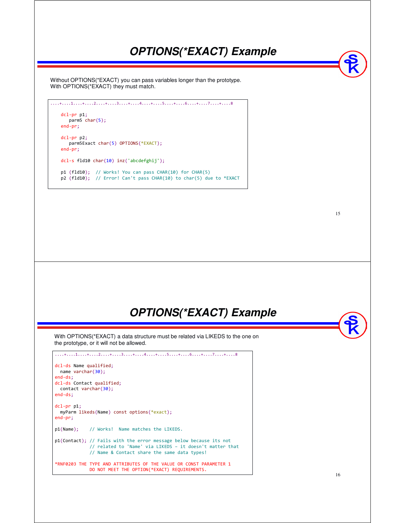### *OPTIONS(\*EXACT) Example*

Without OPTIONS(\*EXACT) you can pass variables longer than the prototype. With OPTIONS(\*EXACT) they must match.

| $dcl-pr$ $p1$ ;<br>parm5 $char(5)$ ; | $\dots$ + $\dots$ 1 $\dots$ + $\dots$ 2 $\dots$ + $\dots$ 3 $\dots$ + $\dots$ 3 $\dots$ + $\dots$ 4 $\dots$ + $\dots$ 5 $\dots$ + $\dots$ 6 $\dots$ + $\dots$ 7 $\dots$ + $\dots$ 8 |
|--------------------------------------|-------------------------------------------------------------------------------------------------------------------------------------------------------------------------------------|
| $end-pr$ ;                           |                                                                                                                                                                                     |
| $dcl-pr$ $p2$ ;<br>$end-$            | parm5Exact char(5) OPTIONS(*EXACT);                                                                                                                                                 |
|                                      | $dcl-s$ fld10 $char(10)$ inz('abcdefghij');                                                                                                                                         |
|                                      | $p1$ (f1d10); // Works! You can pass CHAR(10) for CHAR(5)<br>p2 (f1d10); // Error! Can't pass CHAR(10) to char(5) due to *EXACT                                                     |

### *OPTIONS(\*EXACT) Example*

With OPTIONS(\*EXACT) a data structure must be related via LIKEDS to the one on the prototype, or it will not be allowed.

|                                                                                                               | $\ldots, \ldots, 1, \ldots, \ldots, 2, \ldots, \ldots, 3, \ldots, \ldots, 4, \ldots, \ldots, 5, \ldots, \ldots, 6, \ldots, \ldots, 7, \ldots, \ldots, 8$                         |
|---------------------------------------------------------------------------------------------------------------|----------------------------------------------------------------------------------------------------------------------------------------------------------------------------------|
| dcl-ds Name qualified;<br>name $\text{varchar}(30)$ ;<br>$end-ds$ ;<br>contact varchar $(30)$ ;<br>$end-ds$ ; | dcl-ds Contact qualified;                                                                                                                                                        |
| $dcl-pr$ $p1$ ;<br>$end-pr;$                                                                                  | myParm likeds(Name) const options(*exact);                                                                                                                                       |
|                                                                                                               | p1(Name); // Works! Name matches the LIKEDS.                                                                                                                                     |
|                                                                                                               | $p1(Context);$ // Fails with the error message below because its not<br>// related to 'Name' via LIKEDS - it doesn't matter that<br>// Name & Contact share the same data types! |
|                                                                                                               | *RNF0203 THE TYPE AND ATTRIBUTES OF THE VALUE OR CONST PARAMETER 1<br>DO NOT MEET THE OPTION(*EXACT) REQUIREMENTS.                                                               |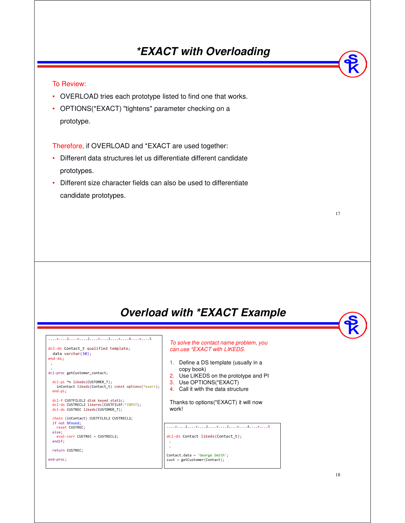### *\*EXACT with Overloading*

#### To Review:

- OVERLOAD tries each prototype listed to find one that works.
- OPTIONS(\*EXACT) "tightens" parameter checking on a prototype.

Therefore, if OVERLOAD and \*EXACT are used together:

- Different data structures let us differentiate different candidate prototypes.
- Different size character fields can also be used to differentiate candidate prototypes.

## *Overload with \*EXACT Example*

| $\dots$ + $\dots$ 1 $\dots$ + $\dots$ 2 $\dots$ + $\dots$ 3 $\dots$ + $\dots$ 4 $\dots$ + $\dots$ + $\dots$ 5 | To solve the contact name problem, you              |  |
|---------------------------------------------------------------------------------------------------------------|-----------------------------------------------------|--|
| dcl-ds Contact t qualified template;                                                                          | can use *FXACT with I IKFDS.                        |  |
| data varchar $(30)$ ;                                                                                         |                                                     |  |
| $end-ds$ ;                                                                                                    |                                                     |  |
|                                                                                                               | Define a DS template (usually in a                  |  |
|                                                                                                               | copy book)                                          |  |
| dcl-proc getCustomer contact;                                                                                 | 2. Use LIKEDS on the prototype and PI               |  |
|                                                                                                               |                                                     |  |
| dcl-pi *n likeds(CUSTOMER T);<br>inContact likeds(Contact t) const options(*exact);                           | Use OPTIONS(*EXACT)<br>3.                           |  |
| $end-pi$ ;                                                                                                    | Call it with the data structure                     |  |
|                                                                                                               |                                                     |  |
| dcl-f CUSTFILEL2 disk keyed static;                                                                           | Thanks to options (*EXACT) it will now              |  |
| dcl-ds CUSTRECL2 likerec(CUSTFILEF:*INPUT);                                                                   |                                                     |  |
| dcl-ds CUSTREC likeds(CUSTOMER T);                                                                            | work!                                               |  |
| chain (inContact) CUSTFILEL2 CUSTRECL2;                                                                       |                                                     |  |
| if not %found;                                                                                                |                                                     |  |
| reset CUSTREC;                                                                                                | $\dots$ +1+2+3+4+5                                  |  |
| else;                                                                                                         |                                                     |  |
| $eval-corr$ CUSTREC = CUSTRECL2;                                                                              | $dcl-ds$ Contact likeds (Contact t);                |  |
| endif;                                                                                                        |                                                     |  |
|                                                                                                               |                                                     |  |
| return CUSTREC;                                                                                               |                                                     |  |
| end-proc;                                                                                                     | Contact.data = 'George Smith';                      |  |
|                                                                                                               | $\text{cust} = \text{getCustomer}(\text{Context});$ |  |
|                                                                                                               |                                                     |  |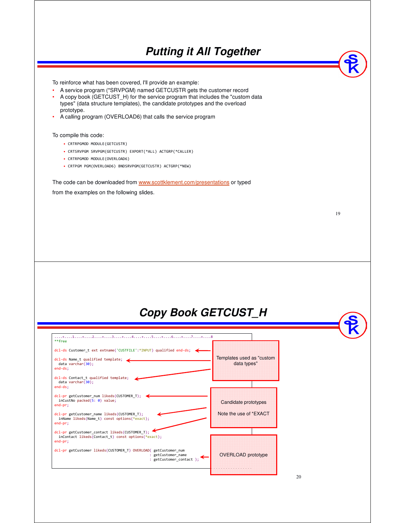### *Putting it All Together*

To reinforce what has been covered, I'll provide an example:

- A service program (\*SRVPGM) named GETCUSTR gets the customer record
- A copy book (GETCUST\_H) for the service program that includes the "custom data types" (data structure templates), the candidate prototypes and the overload prototype.
- A calling program (OVERLOAD6) that calls the service program

To compile this code:

- CRTRPGMOD MODULE(GETCUSTR)
- CRTSRVPGM SRVPGM(GETCUSTR) EXPORT(\*ALL) ACTGRP(\*CALLER)
- CRTRPGMOD MODULE(OVERLOAD6)
- CRTPGM PGM(OVERLOAD6) BNDSRVPGM(GETCUSTR) ACTGRP(\*NEW)

The code can be downloaded from www.scottklement.com/presentations or typed

from the examples on the following slides.

### *Copy Book GETCUST\_H*

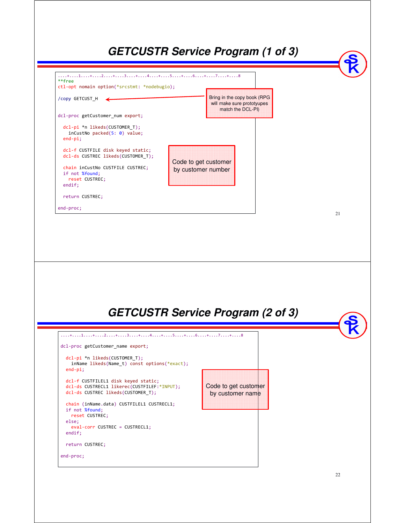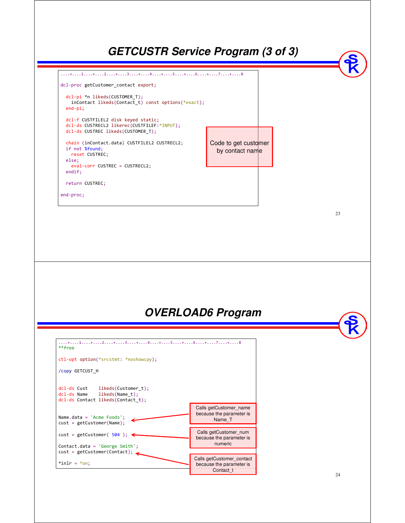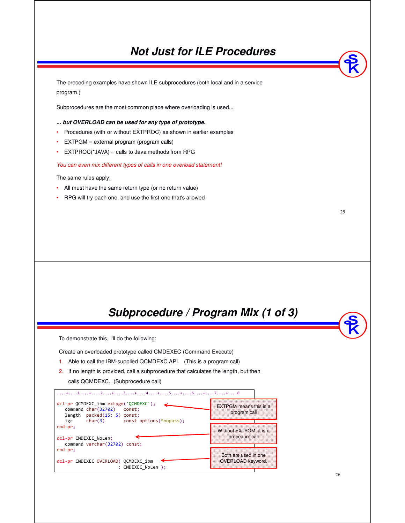### *Not Just for ILE Procedures*

The preceding examples have shown ILE subprocedures (both local and in a service program.)

Subprocedures are the most common place where overloading is used...

#### *... but OVERLOAD can be used for any type of prototype.*

- Procedures (with or without EXTPROC) as shown in earlier examples
- EXTPGM = external program (program calls)
- EXTPROC(\*JAVA) = calls to Java methods from RPG

*You can even mix different types of calls in one overload statement!*

#### The same rules apply:

- All must have the same return type (or no return value)
- RPG will try each one, and use the first one that's allowed

*Subprocedure / Program Mix (1 of 3)*

To demonstrate this, I'll do the following:

Create an overloaded prototype called CMDEXEC (Command Execute)

- 1. Able to call the IBM-supplied QCMDEXC API. (This is a program call)
- 2. If no length is provided, call a subprocedure that calculates the length, but then calls QCMDEXC. (Subprocedure call)

| $\ldots, \ldots, 1, \ldots, \ldots, 2, \ldots, \ldots, 3, \ldots, \ldots, 4, \ldots, \ldots, 5, \ldots, \ldots, 6, \ldots, \ldots, 7, \ldots, \ldots, 8$ |                                                 |  |
|----------------------------------------------------------------------------------------------------------------------------------------------------------|-------------------------------------------------|--|
| dcl-pr QCMDEXC ibm extpgm('QCMDEXC');<br>command char(32702) const;<br>length packed(15: 5) const;<br>igc char(3) const options(*nopass);                | <b>EXTPGM</b> means this is a<br>program call:  |  |
| $end-pr$ ;<br>dcl-pr CMDEXEC NoLen;<br>command varchar(32702) const;                                                                                     | Without EXTPGM, it is a<br>procedure call       |  |
| $end-pr;$<br>dcl-pr CMDEXEC OVERLOAD( OCMDEXC ibm<br>: CMDEXEC NoLen );                                                                                  | Both are used in one<br><b>OVERLOAD keyword</b> |  |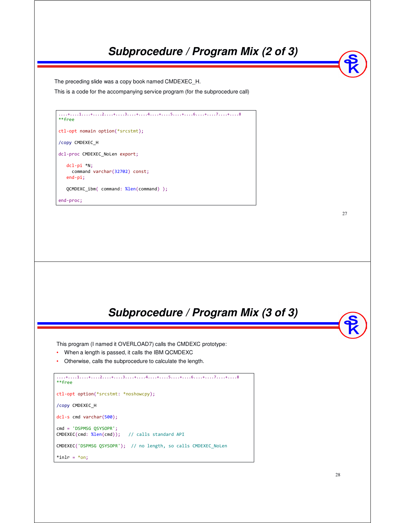

The preceding slide was a copy book named CMDEXEC\_H.

This is a code for the accompanying service program (for the subprocedure call)

| $\ldots, \ldots, 1, \ldots, +, \ldots, 2, \ldots, +, \ldots, 3, \ldots, +, \ldots, 4, \ldots, +, \ldots, 5, \ldots, +, \ldots, 6, \ldots, +, \ldots, 7, \ldots, +, \ldots, 8$<br>**free |
|-----------------------------------------------------------------------------------------------------------------------------------------------------------------------------------------|
| ctl-opt nomain option(*srcstmt);                                                                                                                                                        |
| /copy CMDEXEC H                                                                                                                                                                         |
| dcl-proc CMDEXEC NoLen export;                                                                                                                                                          |
| $dcl-pi *N;$<br>command varchar (32702) const;<br>$end-pi;$                                                                                                                             |
| OCMDEXC ibm( command: %len(command) );                                                                                                                                                  |
| end-proc;                                                                                                                                                                               |

27

### *Subprocedure / Program Mix (3 of 3)*

This program (I named it OVERLOAD7) calls the CMDEXC prototype:

- When a length is passed, it calls the IBM QCMDEXC
- Otherwise, calls the subprocedure to calculate the length.

....+....1....+....2....+....3....+....4....+....5....+....6....+....7....+....8 \*\*free ctl-opt option(\*srcstmt: \*noshowcpy); /copy CMDEXEC\_H dcl-s cmd varchar(500); cmd = 'DSPMSG QSYSOPR'; CMDEXEC(cmd: %len(cmd)); // calls standard API CMDEXEC('DSPMSG QSYSOPR'); // no length, so calls CMDEXEC\_NoLen  $*in1r = *on;$